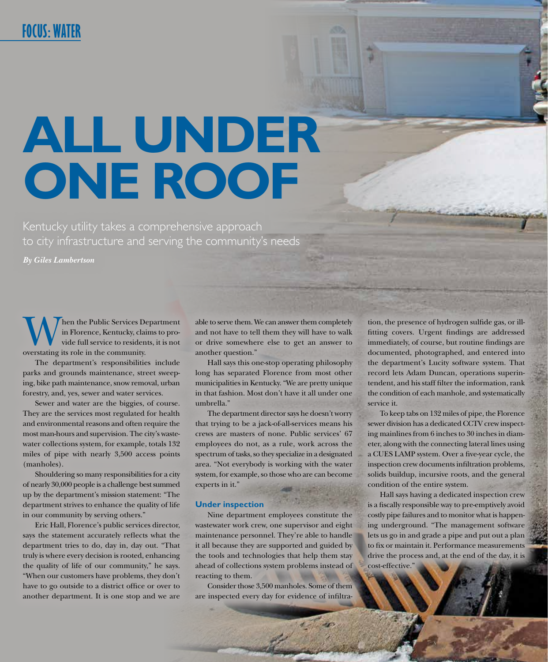# **ALL UNDER ONE ROOF**

Kentucky utility takes a comprehensive approach to city infrastructure and serving the community's needs

*By Giles Lambertson*

hen the Public Services Department in Florence, Kentucky, claims to provide full service to residents, it is not overstating its role in the community.

The department's responsibilities include parks and grounds maintenance, street sweeping, bike path maintenance, snow removal, urban forestry, and, yes, sewer and water services.

Sewer and water are the biggies, of course. They are the services most regulated for health and environmental reasons and often require the most man-hours and supervision. The city's wastewater collections system, for example, totals 132 miles of pipe with nearly 3,500 access points (manholes).

Shouldering so many responsibilities for a city of nearly 30,000 people is a challenge best summed up by the department's mission statement: "The department strives to enhance the quality of life in our community by serving others."

Eric Hall, Florence's public services director, says the statement accurately reflects what the department tries to do, day in, day out. "That truly is where every decision is rooted, enhancing the quality of life of our community," he says. "When our customers have problems, they don't have to go outside to a district office or over to another department. It is one stop and we are

able to serve them. We can answer them completely and not have to tell them they will have to walk or drive somewhere else to get an answer to another question."

Hall says this one-stop operating philosophy long has separated Florence from most other municipalities in Kentucky. "We are pretty unique in that fashion. Most don't have it all under one umbrella."

The department director says he doesn't worry that trying to be a jack-of-all-services means his crews are masters of none. Public services' 67 employees do not, as a rule, work across the spectrum of tasks, so they specialize in a designated area. "Not everybody is working with the water system, for example, so those who are can become experts in it."

#### **Under inspection**

Nine department employees constitute the wastewater work crew, one supervisor and eight maintenance personnel. They're able to handle it all because they are supported and guided by the tools and technologies that help them stay ahead of collections system problems instead of reacting to them.

Consider those 3,500 manholes. Some of them are inspected every day for evidence of infiltration, the presence of hydrogen sulfide gas, or illfitting covers. Urgent findings are addressed immediately, of course, but routine findings are documented, photographed, and entered into the department's Lucity software system. That record lets Adam Duncan, operations superintendent, and his staff filter the information, rank the condition of each manhole, and systematically service it.

To keep tabs on 132 miles of pipe, the Florence sewer division has a dedicated CCTV crew inspecting mainlines from 6 inches to 30 inches in diameter, along with the connecting lateral lines using a CUES LAMP system. Over a five-year cycle, the inspection crew documents infiltration problems, solids buildup, incursive roots, and the general condition of the entire system.

Hall says having a dedicated inspection crew is a fiscally responsible way to pre-emptively avoid costly pipe failures and to monitor what is happening underground. "The management software lets us go in and grade a pipe and put out a plan to fix or maintain it. Performance measurements drive the process and, at the end of the day, it is cost-effective."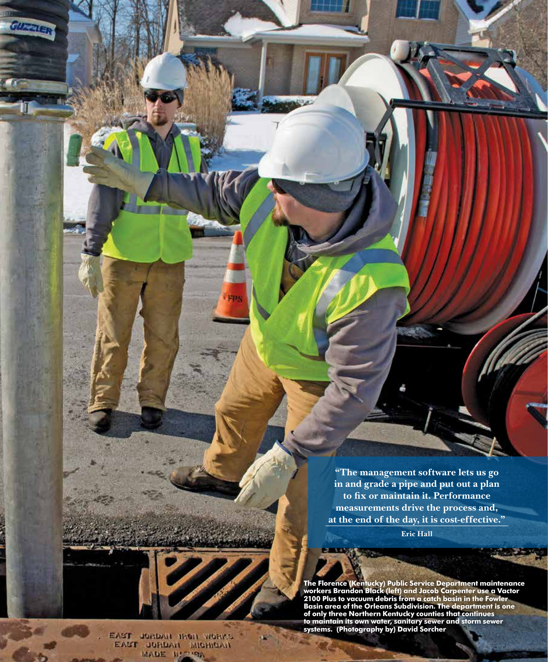**"The management software lets us go in and grade a pipe and put out a plan to fix or maintain it. Performance measurements drive the process and, at the end of the day, it is cost-effective."** 

**Eric Hall**

**STANDARD STAND** 

**The Florence (Kentucky) Public Service Department maintenance workers Brandon Black (left) and Jacob Carpenter use a Vactor 2100 Plus to vacuum debris from a catch basin in the Fowler Basin area of the Orleans Subdivision. The department is one of only three Northern Kentucky counties that continues to maintain its own water, sanitary sewer and storm sewer systems. (Photography by) David Sorcher**

EAST JUNDAH HADA WORKS EAST JURDAN MIGHIGAN

FPS

GUERRER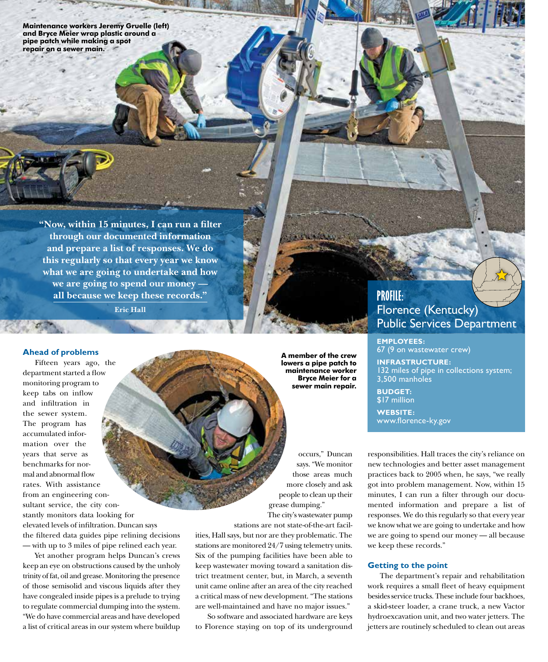**Maintenance workers Jeremy Gruelle (left) and Bryce Meier wrap plastic around a pipe patch while making a spot repair on a sewer main.** 

> **"Now, within 15 minutes, I can run a filter through our documented information and prepare a list of responses. We do this regularly so that every year we know what we are going to undertake and how we are going to spend our money all because we keep these records." Eric Hall**

#### **Ahead of problems**

Fifteen years ago, the department started a flow monitoring program to keep tabs on inflow and infiltration in the sewer system. The program has accumulated information over the years that serve as benchmarks for normal and abnormal flow rates. With assistance from an engineering consultant service, the city constantly monitors data looking for elevated levels of infiltration. Duncan says the filtered data guides pipe relining decisions — with up to 3 miles of pipe relined each year.

Yet another program helps Duncan's crews keep an eye on obstructions caused by the unholy trinity of fat, oil and grease. Monitoring the presence of those semisolid and viscous liquids after they have congealed inside pipes is a prelude to trying to regulate commercial dumping into the system. "We do have commercial areas and have developed a list of critical areas in our system where buildup

**A member of the crew lowers a pipe patch to maintenance worker Bryce Meier for a sewer main repair.**

occurs," Duncan says. "We monitor those areas much more closely and ask people to clean up their grease dumping." The city's wastewater pump

stations are not state-of-the-art facilities, Hall says, but nor are they problematic. The stations are monitored 24/7 using telemetry units. Six of the pumping facilities have been able to keep wastewater moving toward a sanitation district treatment center, but, in March, a seventh unit came online after an area of the city reached a critical mass of new development. "The stations are well-maintained and have no major issues."

So software and associated hardware are keys to Florence staying on top of its underground

## **PROFILE:** Florence (Kentucky) Public Services Department

**EMPLOYEES:** 67 (9 on wastewater crew)

**INFRASTRUCTURE:**  32 miles of pipe in collections system; 3,500 manholes

**BUDGET:**  \$17 million

**WEBSITE:**  www.florence-ky.gov

responsibilities. Hall traces the city's reliance on new technologies and better asset management practices back to 2005 when, he says, "we really got into problem management. Now, within 15 minutes, I can run a filter through our documented information and prepare a list of responses. We do this regularly so that every year we know what we are going to undertake and how we are going to spend our money — all because we keep these records."

#### **Getting to the point**

The department's repair and rehabilitation work requires a small fleet of heavy equipment besides service trucks. These include four backhoes, a skid-steer loader, a crane truck, a new Vactor hydroexcavation unit, and two water jetters. The jetters are routinely scheduled to clean out areas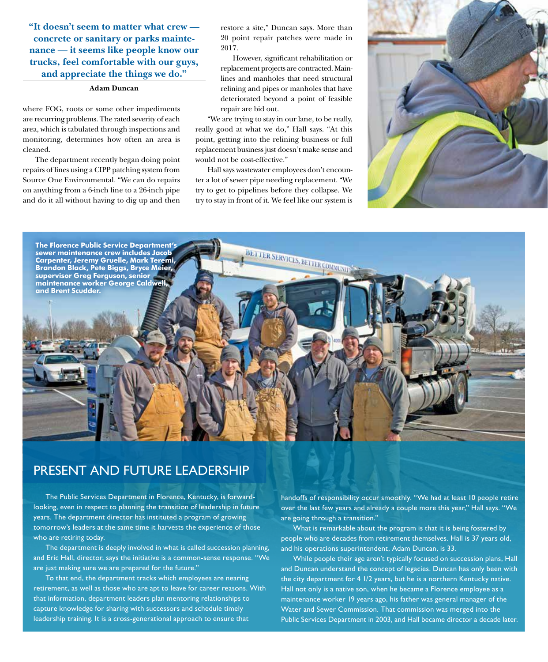**"It doesn't seem to matter what crew concrete or sanitary or parks maintenance — it seems like people know our trucks, feel comfortable with our guys, and appreciate the things we do."**

#### **Adam Duncan**

where FOG, roots or some other impediments are recurring problems. The rated severity of each area, which is tabulated through inspections and monitoring, determines how often an area is cleaned.

The department recently began doing point repairs of lines using a CIPP patching system from Source One Environmental. "We can do repairs on anything from a 6-inch line to a 26-inch pipe and do it all without having to dig up and then

restore a site," Duncan says. More than 20 point repair patches were made in 2017.

However, significant rehabilitation or replacement projects are contracted. Mainlines and manholes that need structural relining and pipes or manholes that have deteriorated beyond a point of feasible repair are bid out.

"We are trying to stay in our lane, to be really, really good at what we do," Hall says. "At this point, getting into the relining business or full replacement business just doesn't make sense and would not be cost-effective."

Hall says wastewater employees don't encounter a lot of sewer pipe needing replacement. "We try to get to pipelines before they collapse. We try to stay in front of it. We feel like our system is





### PRESENT AND FUTURE LEADERSHIP

The Public Services Department in Florence, Kentucky, is forwardlooking, even in respect to planning the transition of leadership in future years. The department director has instituted a program of growing tomorrow's leaders at the same time it harvests the experience of those who are retiring today.

The department is deeply involved in what is called succession planning, and Eric Hall, director, says the initiative is a common-sense response. "We are just making sure we are prepared for the future."

To that end, the department tracks which employees are nearing retirement, as well as those who are apt to leave for career reasons. With that information, department leaders plan mentoring relationships to capture knowledge for sharing with successors and schedule timely leadership training. It is a cross-generational approach to ensure that

handoffs of responsibility occur smoothly. "We had at least 10 people retire over the last few years and already a couple more this year," Hall says. "We are going through a transition."

What is remarkable about the program is that it is being fostered by people who are decades from retirement themselves. Hall is 37 years old, and his operations superintendent, Adam Duncan, is 33.

While people their age aren't typically focused on succession plans, Hall and Duncan understand the concept of legacies. Duncan has only been with the city department for 4 1/2 years, but he is a northern Kentucky native. Hall not only is a native son, when he became a Florence employee as a maintenance worker 19 years ago, his father was general manager of the Water and Sewer Commission. That commission was merged into the Public Services Department in 2003, and Hall became director a decade later.